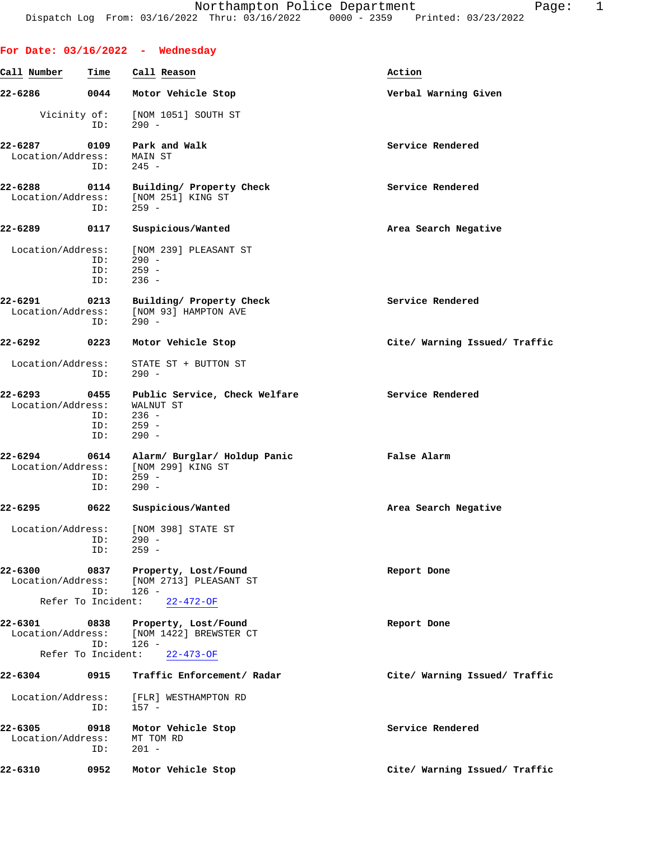|                              |                                   | For Date: $03/16/2022 -$ Wednesday                                           |                               |
|------------------------------|-----------------------------------|------------------------------------------------------------------------------|-------------------------------|
| Call Number                  | Time                              | Call Reason                                                                  | Action                        |
| 22-6286                      | 0044                              | Motor Vehicle Stop                                                           | Verbal Warning Given          |
| Vicinity of:                 | ID:                               | [NOM 1051] SOUTH ST<br>$290 -$                                               |                               |
| 22-6287<br>Location/Address: | 0109<br>ID:                       | Park and Walk<br>MAIN ST<br>$245 -$                                          | Service Rendered              |
| 22-6288<br>Location/Address: | 0114<br>ID:                       | Building/ Property Check<br>[NOM 251] KING ST<br>259 -                       | Service Rendered              |
| 22-6289                      | 0117                              | Suspicious/Wanted                                                            | Area Search Negative          |
| Location/Address:            | ID:<br>ID:<br>ID:                 | [NOM 239] PLEASANT ST<br>$290 -$<br>$259 -$<br>$236 -$                       |                               |
| 22-6291<br>Location/Address: | 0213<br>ID:                       | Building/ Property Check<br>[NOM 93] HAMPTON AVE<br>$290 -$                  | Service Rendered              |
| 22-6292                      | 0223                              | Motor Vehicle Stop                                                           | Cite/ Warning Issued/ Traffic |
| Location/Address:            | ID:                               | STATE ST + BUTTON ST<br>290 -                                                |                               |
| 22-6293<br>Location/Address: | 0455<br>ID:<br>ID:<br>ID:         | Public Service, Check Welfare<br>WALNUT ST<br>$236 -$<br>$259 -$<br>$290 -$  | Service Rendered              |
| 22-6294<br>Location/Address: | 0614<br>ID:<br>ID:                | Alarm/ Burglar/ Holdup Panic<br>[NOM 299] KING ST<br>259 -<br>$290 -$        | False Alarm                   |
| 22-6295                      | 0622                              | Suspicious/Wanted                                                            | Area Search Negative          |
| Location/Address:            | ID:<br>ID:                        | [NOM 398] STATE ST<br>$290 -$<br>$259 -$                                     |                               |
| 22-6300<br>Location/Address: | 0837<br>ID:                       | Property, Lost/Found<br>[NOM 2713] PLEASANT ST<br>$126 -$                    | Report Done                   |
|                              | Refer To Incident:                | $22 - 472 - OF$                                                              |                               |
| 22-6301<br>Location/Address: | 0838<br>ID:<br>Refer To Incident: | Property, Lost/Found<br>[NOM 1422] BREWSTER CT<br>$126 -$<br>$22 - 473 - OF$ | Report Done                   |
| 22-6304                      | 0915                              | Traffic Enforcement/ Radar                                                   | Cite/ Warning Issued/ Traffic |
| Location/Address:            | ID:                               | [FLR] WESTHAMPTON RD<br>$157 -$                                              |                               |
| 22-6305<br>Location/Address: | 0918<br>ID:                       | Motor Vehicle Stop<br>MT TOM RD<br>$201 -$                                   | Service Rendered              |
| 22-6310                      | 0952                              | Motor Vehicle Stop                                                           | Cite/ Warning Issued/ Traffic |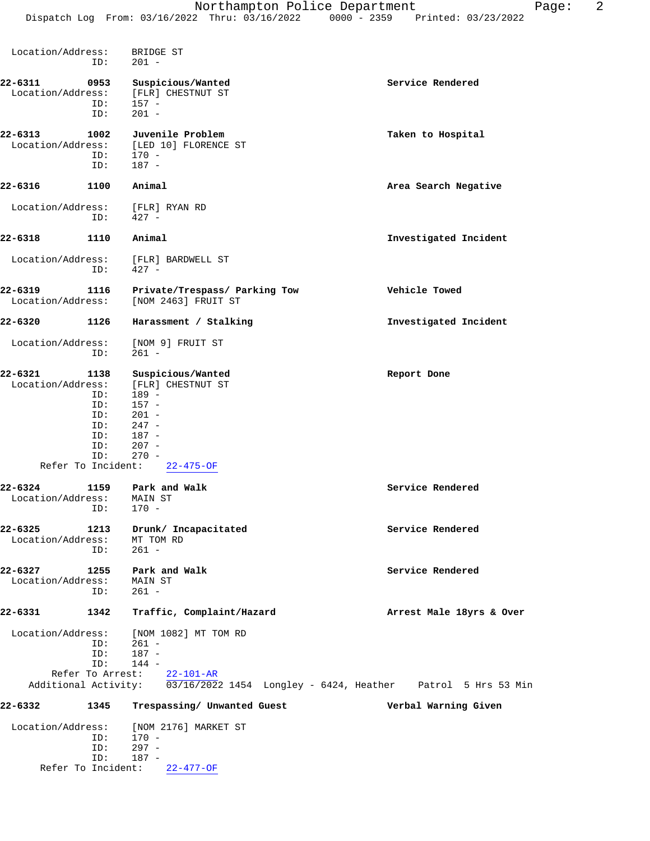**22-6311 0953 Suspicious/Wanted Service Rendered** Location/Address: [FLR] CHESTNUT ST ID: 157 - ID: 201 - **22-6313 1002 Juvenile Problem Taken to Hospital** Location/Address: [LED 10] FLORENCE ST ID: 170 - ID: 187 - **22-6316 1100 Animal Area Search Negative** Location/Address: [FLR] RYAN RD ID: 427 - **22-6318 1110 Animal Investigated Incident** Location/Address: [FLR] BARDWELL ST ID: 427 - **22-6319 1116 Private/Trespass/ Parking Tow Vehicle Towed** Location/Address: [NOM 2463] FRUIT ST **22-6320 1126 Harassment / Stalking Investigated Incident** Location/Address: [NOM 9] FRUIT ST<br>ID: 261 - ID: 261 - **22-6321 1138 Suspicious/Wanted Report Done** Location/Address: [FLR] CHESTNUT ST ID: 189 -<br>ID: 157 -ID: 157 -<br>ID: 201 - $201 -$  ID: 247 - ID: 187 - ID: 207 - ID: 270 - Refer To Incident: 22-475-OF **22-6324 1159 Park and Walk Service Rendered** Location/Address: MAIN ST ess: MAIN ;<br>ID: 170 -**22-6325 1213 Drunk/ Incapacitated Service Rendered** Location/Address: MT TOM RD<br>ID: 261 -ID: **22-6327 1255 Park and Walk Service Rendered** Service Rendered Location/Address: MAIN ST Location/Address: MAIN<br>- 261 ID:  $ID:$ **22-6331 1342 Traffic, Complaint/Hazard Arrest Male 18yrs & Over** Location/Address: [NOM 1082] MT TOM RD ID: 261 - ID: 187 - ID: 144 - Refer To Arrest: 22-101-AR Additional Activity: 03/16/2022 1454 Longley - 6424, Heather Patrol 5 Hrs 53 Min **22-6332 1345 Trespassing/ Unwanted Guest Verbal Warning Given** Location/Address: [NOM 2176] MARKET ST ID: 170 - ID: 297 - ID: 187 -

Refer To Incident: 22-477-OF

Location/Address: BRIDGE ST

ID: 201 -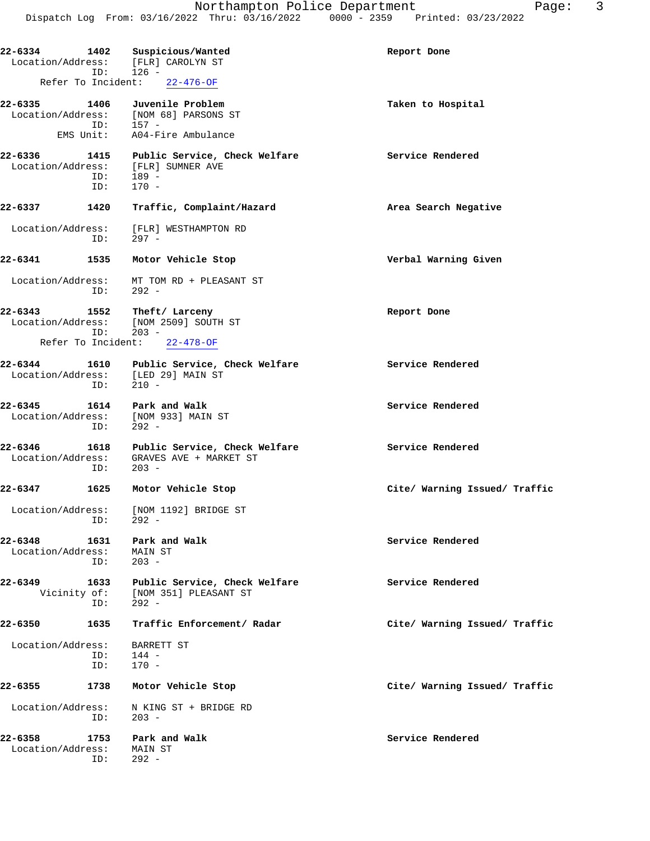**22-6334 1402 Suspicious/Wanted Report Done** Location/Address: [FLR] CAROLYN ST ID: 126 - Refer To Incident: 22-476-OF **22-6335 1406 Juvenile Problem Taken to Hospital** Location/Address: [NOM 68] PARSONS ST ID: 157 - EMS Unit: A04-Fire Ambulance **22-6336 1415 Public Service, Check Welfare Service Rendered** Location/Address: [FLR] SUMNER AVE ID: 189 -<br>ID: 170 - ID: 170 - **22-6337 1420 Traffic, Complaint/Hazard Area Search Negative** Location/Address: [FLR] WESTHAMPTON RD<br>ID: 297 - $297 -$ **22-6341 1535 Motor Vehicle Stop Verbal Warning Given** Location/Address: MT TOM RD + PLEASANT ST ID: 292 - **22-6343 1552 Theft/ Larceny Report Done** Location/Address: [NOM 2509] SOUTH ST ID: 203 - Refer To Incident: 22-478-OF **22-6344 1610 Public Service, Check Welfare Service Rendered** Location/Address: [LED 29] MAIN ST ID: 210 - **22-6345 1614 Park and Walk Service Rendered** Location/Address: [NOM 933] MAIN ST ID: 292 - **22-6346 1618 Public Service, Check Welfare Service Rendered** Location/Address: GRAVES AVE + MARKET ST ID: 203 - **22-6347 1625 Motor Vehicle Stop Cite/ Warning Issued/ Traffic** Location/Address: [NOM 1192] BRIDGE ST ID: 292 - **22-6348 1631 Park and Walk Service Rendered** Location/Address: MAIN ST ID: 203 - **22-6349 1633 Public Service, Check Welfare Service Rendered** Vicinity of: [NOM 351] PLEASANT ST ID: 292 - **22-6350 1635 Traffic Enforcement/ Radar Cite/ Warning Issued/ Traffic** Location/Address: BARRETT ST ID: 144 - ID: 170 - **22-6355 1738 Motor Vehicle Stop Cite/ Warning Issued/ Traffic** Location/Address: N KING ST + BRIDGE RD<br>ID: 203 - $203 -$ **22-6358 1753 Park and Walk Service Rendered** Location/Address: MAIN ST ID: 292 -